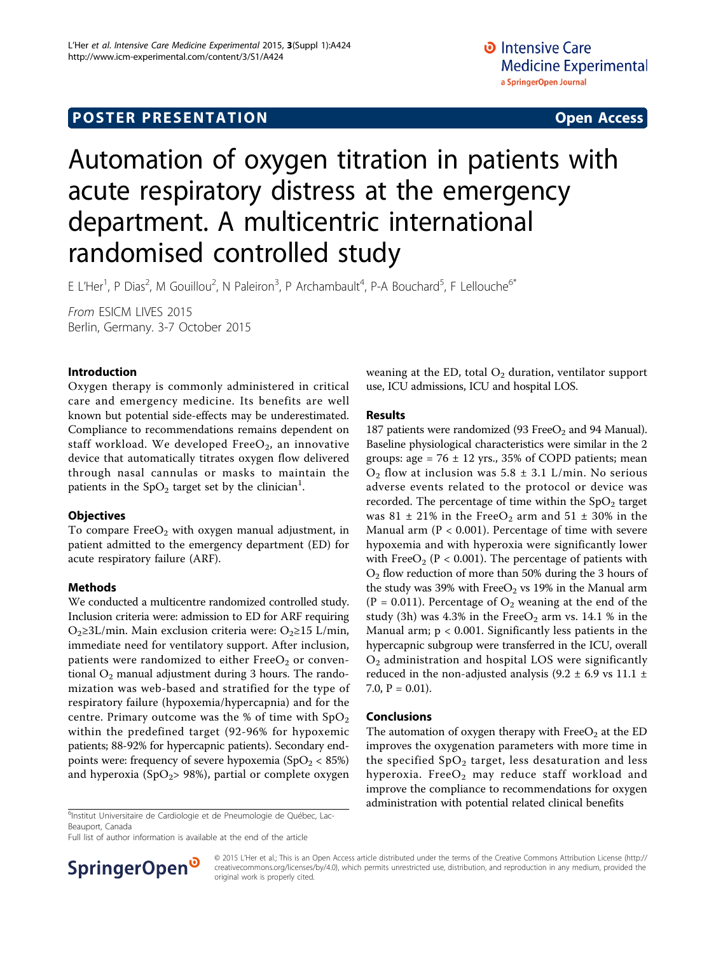# Automation of oxygen titration in patients with acute respiratory distress at the emergency department. A multicentric international randomised controlled study

E L'Her<sup>1</sup>, P Dias<sup>2</sup>, M Gouillou<sup>2</sup>, N Paleiron<sup>3</sup>, P Archambault<sup>4</sup>, P-A Bouchard<sup>5</sup>, F Lellouche<sup>6\*</sup>

From ESICM LIVES 2015 Berlin, Germany. 3-7 October 2015

## Introduction

Oxygen therapy is commonly administered in critical care and emergency medicine. Its benefits are well known but potential side-effects may be underestimated. Compliance to recommendations remains dependent on staff workload. We developed  $FreeO<sub>2</sub>$ , an innovative device that automatically titrates oxygen flow delivered through nasal cannulas or masks to maintain the patients in the SpO<sub>2</sub> target set by the clinician<sup>1</sup>.

## **Objectives**

To compare  $FreeO<sub>2</sub>$  with oxygen manual adjustment, in patient admitted to the emergency department (ED) for acute respiratory failure (ARF).

## Methods

We conducted a multicentre randomized controlled study. Inclusion criteria were: admission to ED for ARF requiring  $O<sub>2</sub>≥3L/min$ . Main exclusion criteria were:  $O<sub>2</sub>≥15 L/min$ , immediate need for ventilatory support. After inclusion, patients were randomized to either  $FreeO<sub>2</sub>$  or conventional  $O_2$  manual adjustment during 3 hours. The randomization was web-based and stratified for the type of respiratory failure (hypoxemia/hypercapnia) and for the centre. Primary outcome was the % of time with  $SpO<sub>2</sub>$ within the predefined target (92-96% for hypoxemic patients; 88-92% for hypercapnic patients). Secondary endpoints were: frequency of severe hypoxemia  $(SpO<sub>2</sub> < 85%)$ and hyperoxia (SpO<sub>2</sub>> 98%), partial or complete oxygen

<sup>6</sup>Institut Universitaire de Cardiologie et de Pneumologie de Québec, Lac-Beauport, Canada

Full list of author information is available at the end of the article



weaning at the ED, total  $O_2$  duration, ventilator support use, ICU admissions, ICU and hospital LOS.

### Results

187 patients were randomized (93 Free $O_2$  and 94 Manual). Baseline physiological characteristics were similar in the 2 groups: age =  $76 \pm 12$  yrs., 35% of COPD patients; mean  $O_2$  flow at inclusion was 5.8  $\pm$  3.1 L/min. No serious adverse events related to the protocol or device was recorded. The percentage of time within the  $SpO<sub>2</sub>$  target was 81  $\pm$  21% in the FreeO<sub>2</sub> arm and 51  $\pm$  30% in the Manual arm  $(P < 0.001)$ . Percentage of time with severe hypoxemia and with hyperoxia were significantly lower with Free $O_2$  (P < 0.001). The percentage of patients with  $O<sub>2</sub>$  flow reduction of more than 50% during the 3 hours of the study was 39% with  $FreeO<sub>2</sub>$  vs 19% in the Manual arm (P = 0.011). Percentage of  $O_2$  weaning at the end of the study (3h) was 4.3% in the Free $O_2$  arm vs. 14.1 % in the Manual arm;  $p < 0.001$ . Significantly less patients in the hypercapnic subgroup were transferred in the ICU, overall  $O<sub>2</sub>$  administration and hospital LOS were significantly reduced in the non-adjusted analysis (9.2  $\pm$  6.9 vs 11.1  $\pm$ 7.0,  $P = 0.01$ ).

### Conclusions

The automation of oxygen therapy with  $FreeO<sub>2</sub>$  at the ED improves the oxygenation parameters with more time in the specified  $SpO<sub>2</sub>$  target, less desaturation and less hyperoxia. Free $O_2$  may reduce staff workload and improve the compliance to recommendations for oxygen administration with potential related clinical benefits <sup>6</sup>

© 2015 L'Her et al.; This is an Open Access article distributed under the terms of the Creative Commons Attribution License [\(http://](http://creativecommons.org/licenses/by/4.0) [creativecommons.org/licenses/by/4.0](http://creativecommons.org/licenses/by/4.0)), which permits unrestricted use, distribution, and reproduction in any medium, provided the original work is properly cited.